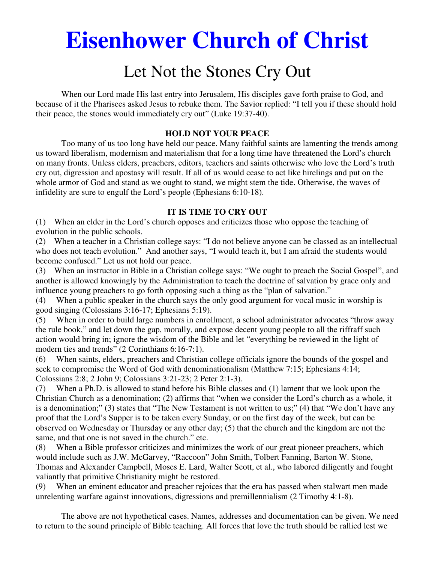# **Eisenhower Church of Christ**

# Let Not the Stones Cry Out

 When our Lord made His last entry into Jerusalem, His disciples gave forth praise to God, and because of it the Pharisees asked Jesus to rebuke them. The Savior replied: "I tell you if these should hold their peace, the stones would immediately cry out" (Luke 19:37-40).

#### **HOLD NOT YOUR PEACE**

Too many of us too long have held our peace. Many faithful saints are lamenting the trends among us toward liberalism, modernism and materialism that for a long time have threatened the Lord's church on many fronts. Unless elders, preachers, editors, teachers and saints otherwise who love the Lord's truth cry out, digression and apostasy will result. If all of us would cease to act like hirelings and put on the whole armor of God and stand as we ought to stand, we might stem the tide. Otherwise, the waves of infidelity are sure to engulf the Lord's people (Ephesians 6:10-18).

#### **IT IS TIME TO CRY OUT**

(1) When an elder in the Lord's church opposes and criticizes those who oppose the teaching of evolution in the public schools.

(2) When a teacher in a Christian college says: "I do not believe anyone can be classed as an intellectual who does not teach evolution." And another says, "I would teach it, but I am afraid the students would become confused." Let us not hold our peace.

(3) When an instructor in Bible in a Christian college says: "We ought to preach the Social Gospel", and another is allowed knowingly by the Administration to teach the doctrine of salvation by grace only and influence young preachers to go forth opposing such a thing as the "plan of salvation."

(4) When a public speaker in the church says the only good argument for vocal music in worship is good singing (Colossians 3:16-17; Ephesians 5:19).

(5) When in order to build large numbers in enrollment, a school administrator advocates "throw away the rule book," and let down the gap, morally, and expose decent young people to all the riffraff such action would bring in; ignore the wisdom of the Bible and let "everything be reviewed in the light of modern ties and trends" (2 Corinthians 6:16-7:1).

(6) When saints, elders, preachers and Christian college officials ignore the bounds of the gospel and seek to compromise the Word of God with denominationalism (Matthew 7:15; Ephesians 4:14; Colossians 2:8; 2 John 9; Colossians 3:21-23; 2 Peter 2:1-3).

(7) When a Ph.D. is allowed to stand before his Bible classes and (1) lament that we look upon the Christian Church as a denomination; (2) affirms that "when we consider the Lord's church as a whole, it is a denomination;" (3) states that "The New Testament is not written to us;" (4) that "We don't have any proof that the Lord's Supper is to be taken every Sunday, or on the first day of the week, but can be observed on Wednesday or Thursday or any other day; (5) that the church and the kingdom are not the same, and that one is not saved in the church." etc.

(8) When a Bible professor criticizes and minimizes the work of our great pioneer preachers, which would include such as J.W. McGarvey, "Raccoon" John Smith, Tolbert Fanning, Barton W. Stone, Thomas and Alexander Campbell, Moses E. Lard, Walter Scott, et al., who labored diligently and fought valiantly that primitive Christianity might be restored.

(9) When an eminent educator and preacher rejoices that the era has passed when stalwart men made unrelenting warfare against innovations, digressions and premillennialism (2 Timothy 4:1-8).

The above are not hypothetical cases. Names, addresses and documentation can be given. We need to return to the sound principle of Bible teaching. All forces that love the truth should be rallied lest we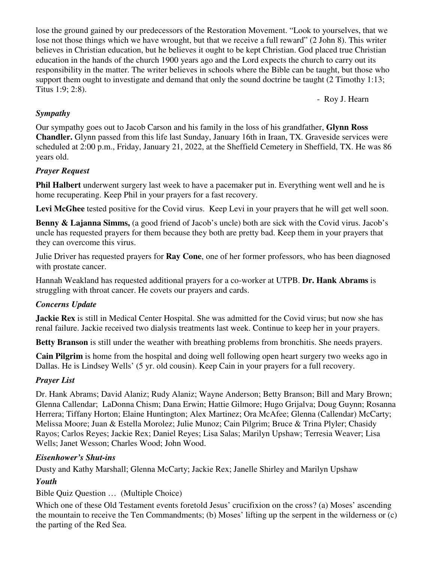lose the ground gained by our predecessors of the Restoration Movement. "Look to yourselves, that we lose not those things which we have wrought, but that we receive a full reward" (2 John 8). This writer believes in Christian education, but he believes it ought to be kept Christian. God placed true Christian education in the hands of the church 1900 years ago and the Lord expects the church to carry out its responsibility in the matter. The writer believes in schools where the Bible can be taught, but those who support them ought to investigate and demand that only the sound doctrine be taught (2 Timothy 1:13; Titus 1:9; 2:8).

- Roy J. Hearn

# *Sympathy*

Our sympathy goes out to Jacob Carson and his family in the loss of his grandfather, **Glynn Ross Chandler.** Glynn passed from this life last Sunday, January 16th in Iraan, TX. Graveside services were scheduled at 2:00 p.m., Friday, January 21, 2022, at the Sheffield Cemetery in Sheffield, TX. He was 86 years old.

# *Prayer Request*

**Phil Halbert** underwent surgery last week to have a pacemaker put in. Everything went well and he is home recuperating. Keep Phil in your prayers for a fast recovery.

Levi McGhee tested positive for the Covid virus. Keep Levi in your prayers that he will get well soon.

**Benny & Lajanna Simms,** (a good friend of Jacob's uncle) both are sick with the Covid virus. Jacob's uncle has requested prayers for them because they both are pretty bad. Keep them in your prayers that they can overcome this virus.

Julie Driver has requested prayers for **Ray Cone**, one of her former professors, who has been diagnosed with prostate cancer.

Hannah Weakland has requested additional prayers for a co-worker at UTPB. **Dr. Hank Abrams** is struggling with throat cancer. He covets our prayers and cards.

#### *Concerns Update*

**Jackie Rex** is still in Medical Center Hospital. She was admitted for the Covid virus; but now she has renal failure. Jackie received two dialysis treatments last week. Continue to keep her in your prayers.

**Betty Branson** is still under the weather with breathing problems from bronchitis. She needs prayers.

**Cain Pilgrim** is home from the hospital and doing well following open heart surgery two weeks ago in Dallas. He is Lindsey Wells' (5 yr. old cousin). Keep Cain in your prayers for a full recovery.

#### *Prayer List*

Dr. Hank Abrams; David Alaniz; Rudy Alaniz; Wayne Anderson; Betty Branson; Bill and Mary Brown; Glenna Callendar; LaDonna Chism; Dana Erwin; Hattie Gilmore; Hugo Grijalva; Doug Guynn; Rosanna Herrera; Tiffany Horton; Elaine Huntington; Alex Martinez; Ora McAfee; Glenna (Callendar) McCarty; Melissa Moore; Juan & Estella Morolez; Julie Munoz; Cain Pilgrim; Bruce & Trina Plyler; Chasidy Rayos; Carlos Reyes; Jackie Rex; Daniel Reyes; Lisa Salas; Marilyn Upshaw; Terresia Weaver; Lisa Wells; Janet Wesson; Charles Wood; John Wood.

#### *Eisenhower's Shut-ins*

Dusty and Kathy Marshall; Glenna McCarty; Jackie Rex; Janelle Shirley and Marilyn Upshaw

#### *Youth*

Bible Quiz Question … (Multiple Choice)

Which one of these Old Testament events foretold Jesus' crucifixion on the cross? (a) Moses' ascending the mountain to receive the Ten Commandments; (b) Moses' lifting up the serpent in the wilderness or (c) the parting of the Red Sea.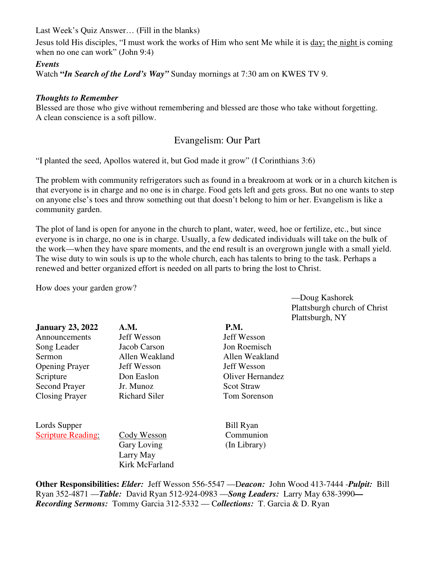Last Week's Quiz Answer… (Fill in the blanks)

Jesus told His disciples, "I must work the works of Him who sent Me while it is day; the night is coming when no one can work" (John 9:4)

#### *Events*

Watch **"***In Search of the Lord's Way"* Sunday mornings at 7:30 am on KWES TV 9.

#### *Thoughts to Remember*

Blessed are those who give without remembering and blessed are those who take without forgetting. A clean conscience is a soft pillow.

# Evangelism: Our Part

"I planted the seed, Apollos watered it, but God made it grow" (I Corinthians 3:6)

The problem with community refrigerators such as found in a breakroom at work or in a church kitchen is that everyone is in charge and no one is in charge. Food gets left and gets gross. But no one wants to step on anyone else's toes and throw something out that doesn't belong to him or her. Evangelism is like a community garden.

The plot of land is open for anyone in the church to plant, water, weed, hoe or fertilize, etc., but since everyone is in charge, no one is in charge. Usually, a few dedicated individuals will take on the bulk of the work—when they have spare moments, and the end result is an overgrown jungle with a small yield. The wise duty to win souls is up to the whole church, each has talents to bring to the task. Perhaps a renewed and better organized effort is needed on all parts to bring the lost to Christ.

How does your garden grow?

—Doug Kashorek Plattsburgh church of Christ Plattsburgh, NY

| <b>January 23, 2022</b>   | A.M.                 | P.M.               |
|---------------------------|----------------------|--------------------|
| Announcements             | Jeff Wesson          | <b>Jeff Wesson</b> |
| Song Leader               | Jacob Carson         | Jon Roemisch       |
| <b>Sermon</b>             | Allen Weakland       | Allen Weakland     |
| <b>Opening Prayer</b>     | Jeff Wesson          | Jeff Wesson        |
| Scripture                 | Don Easlon           | Oliver Hernandez   |
| Second Prayer             | Jr. Munoz            | <b>Scot Straw</b>  |
| <b>Closing Prayer</b>     | <b>Richard Siler</b> | Tom Sorenson       |
| Lords Supper              |                      | <b>Bill Ryan</b>   |
| <b>Scripture Reading:</b> | Cody Wesson          | Communion          |
|                           | <b>Gary Loving</b>   | (In Library)       |
|                           | Larry May            |                    |
|                           | Kirk McFarland       |                    |

**Other Responsibilities:** *Elder:* Jeff Wesson 556-5547 —D*eacon:*John Wood 413-7444 -*Pulpit:* Bill Ryan 352-4871 —*Table:* David Ryan 512-924-0983 —*Song Leaders:* Larry May 638-3990*— Recording Sermons:* Tommy Garcia 312-5332 — C*ollections:* T. Garcia & D. Ryan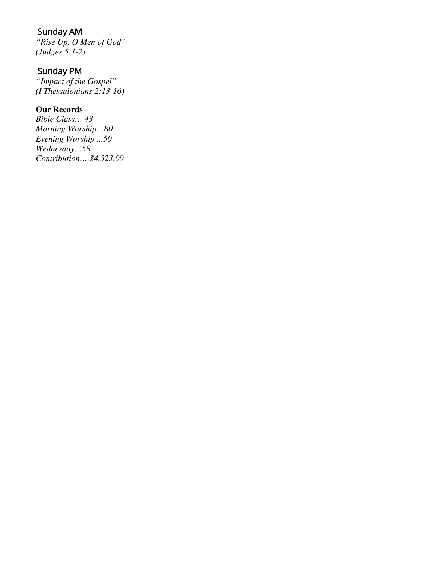# Sunday AM

*"Rise Up, O Men of God" (Judges 5:1-2)* 

# Sunday PM

*"Impact of the Gospel" (I Thessalonians 2:13-16)* 

# **Our Records**

*Bible Class… 43 Morning Worship…80 Evening Worship ...50 Wednesday…58 Contribution….\$4,323.00*